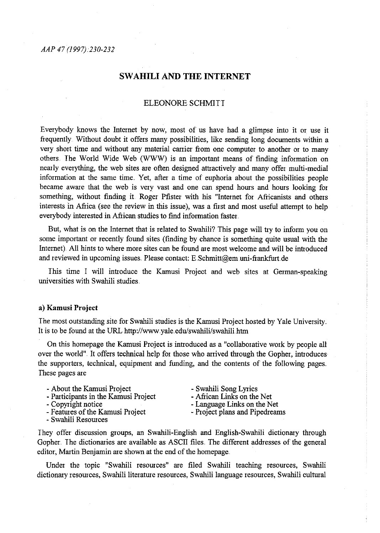### *AAP 47 (1997).230-232*

# **SW AHILI AND THE INTERNET**

### ELEONORE SCHMITI

Everybody knows the Intemet by now, most of us have had a glimpse into it or use it frequently Without doubt it offers many possibilities, like sending long documents within a very short time and without any material canier from one computer to another or to many others. The World Wide Web (WWW) is an important means of finding information on nearly everything, the web sites are often designed attractively and many offer multi-medial information at the same time.. Yet, after a time of euphoria about the possibilities people became aware that the web is very vast and one can spend hours and hours looking for something, without finding it. Roger Pfister with his "Internet for Africanists and others interests in Afiica (see the review in this issue), was a first and most useful attempt to help everybody interested in Afiican studies to fmd information faster ..

But, what is on the Intemet that is related to Swahili? This page will try to inform you on some important or recently found sites (finding by chance is something quite usual with the Intemet). All hints to where more sites can be found are most welcome and will be introduced and reviewed in upcoming issues. Please contact: E.Schmitt@em.uni-frankfurt.de

This time I will introduce the Kamusi Project and web sites at German-speaking universities with Swahili studies

### a) Kamusi Project

The most outstanding site for Swahili studies is the Kamusi Project hosted by Yale University .. It is to be found at the URL http://www.yale.edu/swahili/swahili.htm

On this homepage the Kamusi Project is introduced as a "collaborative work by people all over the world". It offers technical help for those who arrived through the Gopher, introduces the supporters, technical, equipment and funding, and the contents of the following pages .. These pages are

|  |  | - About the Kamusi Project |  |
|--|--|----------------------------|--|
|  |  |                            |  |

- Participants in the Kamusi Project Copyright notice
- 
- Features of the Kamusi Project
- Swahili Resources

- Swahili Song Lyrics<br>- African Links on the Net

- Language Links on the Net<br>- Project plans and Pipedreams

They offer discussion groups, an Swahili-English and English-Swahili dictionary through Gopher. The dictionaries are available as ASCII files. The different addresses of the general editor, Martin Benjamin are shown at the end of the homepage.

Under the topic "Swahili resources" are filed Swahili teaching resources, Swahili dictionary resources, Swahili literature resources, Swahili language resources, Swahili cultural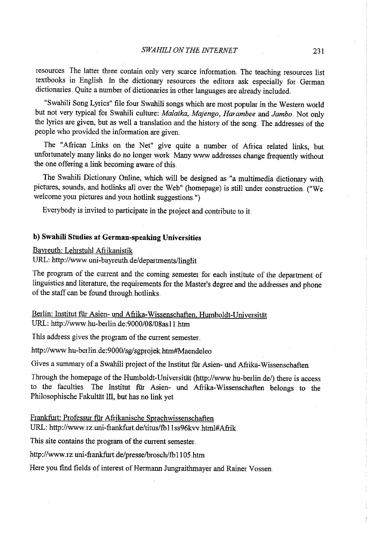resources The latter three contain only very scarce information The teaching resources list textbooks in English In the dictionary resources the editors ask especially for German dictionaries. Quite a number of dictionaries in other languages are already included.

"Swahili Song Lyrics" file four Swahili songs which are most popular in the Western world but not very typical for Swahili culture: *Malaika, Majengo, Harambee* and *Jambo ..* Not only the lyrics are given, but as well a translation and the history of the song. The addresses of the people who provided the information are given.

The "Afiican Links on the Net" give quite a number of Afiica related links, but unfortunately many links do no longer work. Many www addresses change frequently without the one offering a link becoming aware of this.

The Swahili Dictionary Online, which will be designed as "a multimedia dictionary with <sup>p</sup>ictures, sounds, and hotlinks all over the Web" (homepage) is still under constmction. ("We welcome your pictures and your hotlink suggestions.")

Everybody is invited to participate in the project and contribute to it

## **b) Swahili Studies at German-speaking Universities**

Bayreuth: Lehrstuhl Afiikanistik

URL: http://www.uni-bayreuth.de/departments/linglit

The program of the current and the coming semester for each institute of the department of linguistics and literature, the requirements for the Master's degree and the addresses and phone of the staff can be found through hotlinks

Berlin: Institut für Asien- und Afrika-Wissenschaften, Humboldt-Universität URL: http://www.hu-berlin.de:9000/08/08as11.htm

This address gives the program of the current semester.

http://www.hu-berlin.de:9000/sg/sgprojek.htm#Maendeleo

Gives a sunrmary of a Swahili project of the Institut fiir Asien- und Afiika-Wissenschaften

Through the homepage of the Humboldt-Universität (http://www.hu-berlin de/) there is access to the faculties The Institut fiir Asien- und Afiika-Wissenschaften belongs to the Philosophische Fakultät III, but has no link yet.

Frankfurt: Professur fiir Afiikanische Sprachwissenschaften

URL: http://www.rz.uni-frankfurt.de/titus/fb11ss96kvv.html#Afrik

This site contains the program of the current semester.

http://www.rz.uni-frankfurt.de/presse/brosch/fb1105.htm

Here you find fields of interest of Hermann Jungraithmayer and Rainer Vossen.